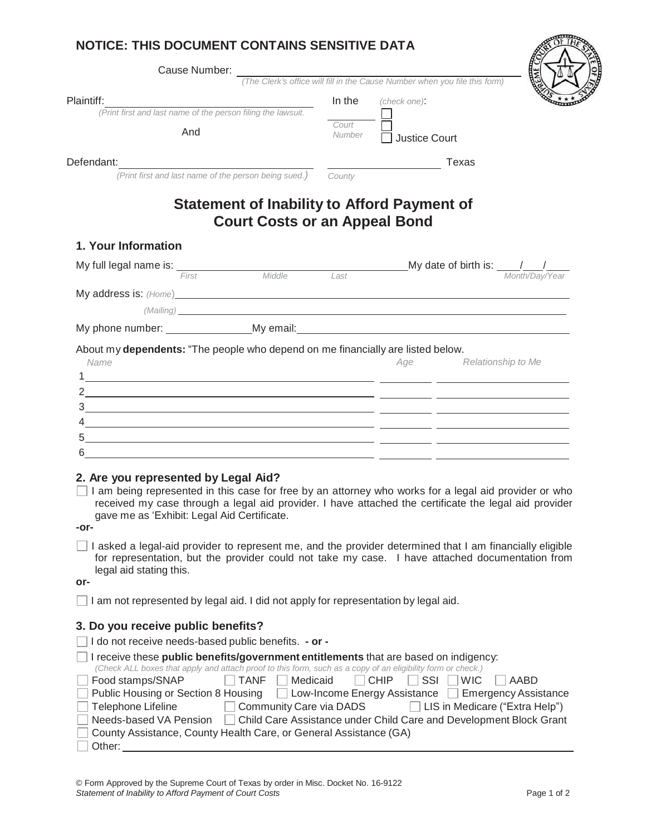## **NOTICE: THIS DOCUMENT CONTAINS SENSITIVE DATA**

| Cause Number:                                                                                                                                                                                                                                                                                                 |        | (The Clerk's office will fill in the Cause Number when you file this form)                                                                                                                                                          |
|---------------------------------------------------------------------------------------------------------------------------------------------------------------------------------------------------------------------------------------------------------------------------------------------------------------|--------|-------------------------------------------------------------------------------------------------------------------------------------------------------------------------------------------------------------------------------------|
|                                                                                                                                                                                                                                                                                                               |        |                                                                                                                                                                                                                                     |
| Plaintiff:<br>(Print first and last name of the person filing the lawsuit.                                                                                                                                                                                                                                    | In the | (check one):                                                                                                                                                                                                                        |
|                                                                                                                                                                                                                                                                                                               | Court  |                                                                                                                                                                                                                                     |
| And                                                                                                                                                                                                                                                                                                           | Number | <b>Justice Court</b>                                                                                                                                                                                                                |
| Defendant:                                                                                                                                                                                                                                                                                                    |        | Texas                                                                                                                                                                                                                               |
| (Print first and last name of the person being sued.)                                                                                                                                                                                                                                                         | County |                                                                                                                                                                                                                                     |
| <b>Statement of Inability to Afford Payment of</b><br><b>Court Costs or an Appeal Bond</b>                                                                                                                                                                                                                    |        |                                                                                                                                                                                                                                     |
| 1. Your Information                                                                                                                                                                                                                                                                                           |        |                                                                                                                                                                                                                                     |
| My full legal name is: $\frac{1}{f_{\text{first}}}$ Middle Last Mate of birth is: $\frac{1}{M_0}$ Middle                                                                                                                                                                                                      |        |                                                                                                                                                                                                                                     |
|                                                                                                                                                                                                                                                                                                               |        |                                                                                                                                                                                                                                     |
| My address is: (Home) <b>Example 2008</b> 2014 12:30 and 2014 2015 2016 2017 2018 2019 2017 2018 2019 2017 2018 2019 2017 2018 2019 2019 2017 2018 2019 2017 2018 2019 2017 2018 2017 2018 2019 2017 2018 2019 2019 2017 2018 2019                                                                            |        |                                                                                                                                                                                                                                     |
|                                                                                                                                                                                                                                                                                                               |        | (Mailing) <b>Example 2020</b> The Contract of Contract Contract of Contract Contract Contract Contract Contract Contract Contract Contract Contract Contract Contract Contract Contract Contract Contract Contract Contract Contrac |
|                                                                                                                                                                                                                                                                                                               |        |                                                                                                                                                                                                                                     |
| <u> 1999 - Jacques Alexandro III, poet e alexandro de la contrada de la contrada de la contrada de la contrada d</u><br><u> 1980 - Johann Barn, fransk politik (d. 1980)</u><br><u> 1989 - Johann John Stone, meilich aus der Stone († 1989)</u>                                                              |        |                                                                                                                                                                                                                                     |
| 2. Are you represented by Legal Aid?<br>I am being represented in this case for free by an attorney who works for a legal aid provider or who<br>received my case through a legal aid provider. I have attached the certificate the legal aid provider<br>gave me as 'Exhibit: Legal Aid Certificate.<br>-or- |        |                                                                                                                                                                                                                                     |
| I asked a legal-aid provider to represent me, and the provider determined that I am financially eligible<br>for representation, but the provider could not take my case. I have attached documentation from<br>legal aid stating this.<br>or-                                                                 |        |                                                                                                                                                                                                                                     |
| I am not represented by legal aid. I did not apply for representation by legal aid.                                                                                                                                                                                                                           |        |                                                                                                                                                                                                                                     |
| 3. Do you receive public benefits?<br>I do not receive needs-based public benefits. - or -                                                                                                                                                                                                                    |        |                                                                                                                                                                                                                                     |